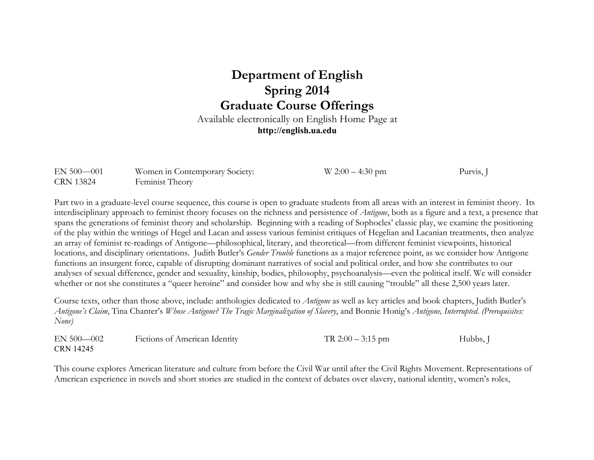## **Department of English Spring 2014 Graduate Course Offerings**

Available electronically on English Home Page at **http://english.ua.edu**

| $EN 500 - 001$   | Women in Contemporary Society: | $W 2:00 - 4:30$ pm | Purvis, |
|------------------|--------------------------------|--------------------|---------|
| <b>CRN 13824</b> | Feminist Theory                |                    |         |

Part two in a graduate-level course sequence, this course is open to graduate students from all areas with an interest in feminist theory. Its interdisciplinary approach to feminist theory focuses on the richness and persistence of *Antigone*, both as a figure and a text, a presence that spans the generations of feminist theory and scholarship. Beginning with a reading of Sophocles' classic play, we examine the positioning of the play within the writings of Hegel and Lacan and assess various feminist critiques of Hegelian and Lacanian treatments, then analyze an array of feminist re-readings of Antigone—philosophical, literary, and theoretical—from different feminist viewpoints, historical locations, and disciplinary orientations. Judith Butler's *Gender Trouble* functions as a major reference point, as we consider how Antigone functions an insurgent force, capable of disrupting dominant narratives of social and political order, and how she contributes to our analyses of sexual difference, gender and sexuality, kinship, bodies, philosophy, psychoanalysis—even the political itself. We will consider whether or not she constitutes a "queer heroine" and consider how and why she is still causing "trouble" all these 2,500 years later.

Course texts, other than those above, include: anthologies dedicated to *Antigone* as well as key articles and book chapters, Judith Butler's *Antigone's Claim*, Tina Chanter's *Whose Antigone? The Tragic Marginalization of Slavery*, and Bonnie Honig's *Antigone, Interrupted. (Prerequisites: None)*

| $EN 500 - 002$   | <b>Fictions of American Identity</b> | TR $2:00-3:15$ pm | Hubbs, J |
|------------------|--------------------------------------|-------------------|----------|
| <b>CRN 14245</b> |                                      |                   |          |

This course explores American literature and culture from before the Civil War until after the Civil Rights Movement. Representations of American experience in novels and short stories are studied in the context of debates over slavery, national identity, women's roles,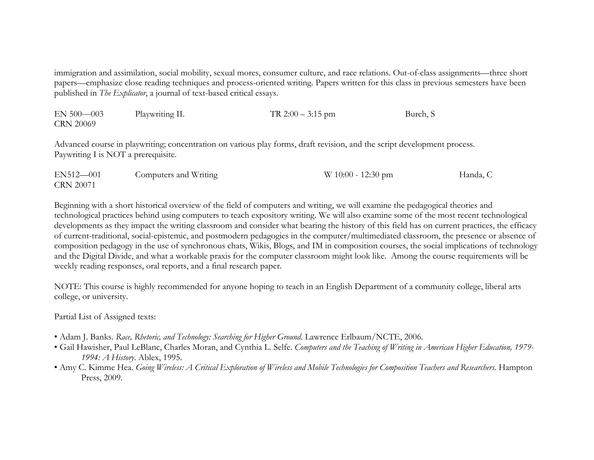immigration and assimilation, social mobility, sexual mores, consumer culture, and race relations. Out-of-class assignments—three short papers—emphasize close reading techniques and process-oriented writing. Papers written for this class in previous semesters have been published in *The Explicator*, a journal of text-based critical essays.

| $EN 500 - 003$   | Playwriting II. | TR $2:00-3:15$ pm | Burch, S |
|------------------|-----------------|-------------------|----------|
| <b>CRN 20069</b> |                 |                   |          |

Advanced course in playwriting; concentration on various play forms, draft revision, and the script development process. Paywriting I is NOT a prerequisite.

| EN512-001        | Computers and Writing | $W 10:00 - 12:30$ pm | Handa, C |
|------------------|-----------------------|----------------------|----------|
| <b>CRN 20071</b> |                       |                      |          |

Beginning with a short historical overview of the field of computers and writing, we will examine the pedagogical theories and technological practices behind using computers to teach expository writing. We will also examine some of the most recent technological developments as they impact the writing classroom and consider what bearing the history of this field has on current practices, the efficacy of current-traditional, social-epistemic, and postmodern pedagogies in the computer/multimediated classroom, the presence or absence of composition pedagogy in the use of synchronous chats, Wikis, Blogs, and IM in composition courses, the social implications of technology and the Digital Divide, and what a workable praxis for the computer classroom might look like. Among the course requirements will be weekly reading responses, oral reports, and a final research paper.

NOTE: This course is highly recommended for anyone hoping to teach in an English Department of a community college, liberal arts college, or university.

Partial List of Assigned texts:

- Adam J. Banks. *Race, Rhetoric, and Technology: Searching for Higher Ground*. Lawrence Erlbaum/NCTE, 2006.
- Gail Hawisher, Paul LeBlanc, Charles Moran, and Cynthia L. Selfe. *Computers and the Teaching of Writing in American Higher Education, 1979- 1994: A History*. Ablex, 1995.
- Amy C. Kimme Hea. *Going Wireless: A Critical Exploration of Wireless and Mobile Technologies for Composition Teachers and Researchers*. Hampton Press, 2009.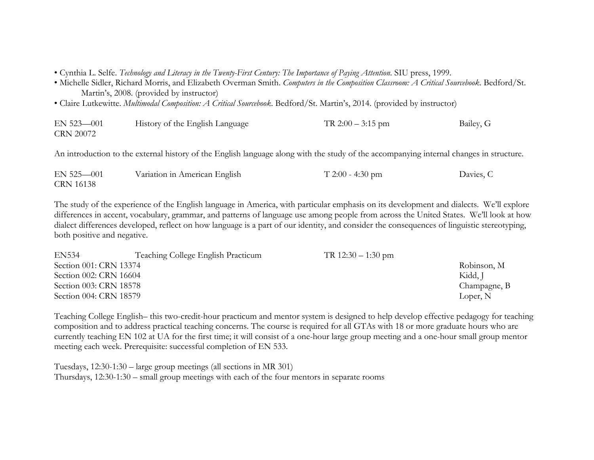• Cynthia L. Selfe. *Technology and Literacy in the Twenty-First Century: The Importance of Paying Attention*. SIU press, 1999.

- Michelle Sidler, Richard Morris, and Elizabeth Overman Smith. *Computers in the Composition Classroom: A Critical Sourcebook*. Bedford/St. Martin's, 2008. (provided by instructor)
- Claire Lutkewitte. *Multimodal Composition: A Critical Sourcebook*. Bedford/St. Martin's, 2014. (provided by instructor)

| EN 523-001       | History of the English Language | TR $2:00-3:15$ pm | Bailey, G |
|------------------|---------------------------------|-------------------|-----------|
| <b>CRN 20072</b> |                                 |                   |           |

An introduction to the external history of the English language along with the study of the accompanying internal changes in structure.

| $EN$ 525 $-001$ | Variation in American English | $T 2:00 - 4:30$ pm | Davies, C |
|-----------------|-------------------------------|--------------------|-----------|
| CRN 16138       |                               |                    |           |

The study of the experience of the English language in America, with particular emphasis on its development and dialects. We'll explore differences in accent, vocabulary, grammar, and patterns of language use among people from across the United States. We'll look at how dialect differences developed, reflect on how language is a part of our identity, and consider the consequences of linguistic stereotyping, both positive and negative.

| <b>EN534</b>           | Teaching College English Practicum | TR $12:30 - 1:30$ pm |              |
|------------------------|------------------------------------|----------------------|--------------|
| Section 001: CRN 13374 |                                    |                      | Robinson, M  |
| Section 002: CRN 16604 |                                    |                      | Kidd, J      |
| Section 003: CRN 18578 |                                    |                      | Champagne, B |
| Section 004: CRN 18579 |                                    |                      | Loper, N     |

Teaching College English– this two-credit-hour practicum and mentor system is designed to help develop effective pedagogy for teaching composition and to address practical teaching concerns. The course is required for all GTAs with 18 or more graduate hours who are currently teaching EN 102 at UA for the first time; it will consist of a one-hour large group meeting and a one-hour small group mentor meeting each week. Prerequisite: successful completion of EN 533.

Tuesdays, 12:30-1:30 – large group meetings (all sections in MR 301) Thursdays, 12:30-1:30 – small group meetings with each of the four mentors in separate rooms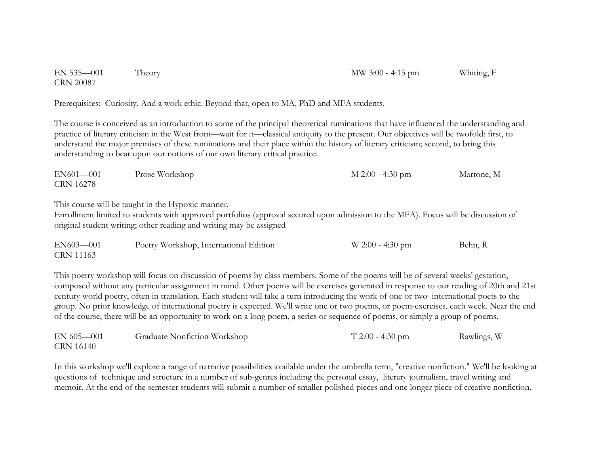EN 535—001 Theory MW 3:00 - 4:15 pm Whiting, F CRN 20087

Prerequisites: Curiosity. And a work ethic. Beyond that, open to MA, PhD and MFA students.

The course is conceived as an introduction to some of the principal theoretical ruminations that have influenced the understanding and practice of literary criticism in the West from—wait for it—classical antiquity to the present. Our objectives will be twofold: first, to understand the major premises of these ruminations and their place within the history of literary criticism; second, to bring this understanding to bear upon our notions of our own literary critical practice.

| EN601-001        | Prose Workshop | $M$ 2:00 - 4:30 pm | Martone, M |
|------------------|----------------|--------------------|------------|
| <b>CRN 16278</b> |                |                    |            |

This course will be taught in the Hypoxic manner.

Enrollment limited to students with approved portfolios (approval secured upon admission to the MFA). Focus will be discussion of original student writing; other reading and writing may be assigned

| EN603-001        | Poetry Workshop, International Edition | $W$ 2:00 - 4:30 pm | Behn, R |
|------------------|----------------------------------------|--------------------|---------|
| <b>CRN 11163</b> |                                        |                    |         |

This poetry workshop will focus on discussion of poems by class members. Some of the poems will be of several weeks' gestation, composed without any particular assignment in mind. Other poems will be exercises generated in response to our reading of 20th and 21st century world poetry, often in translation. Each student will take a turn introducing the work of one or two international poets to the group. No prior knowledge of international poetry is expected. We'll write one or two poems, or poem-exercises, each week. Near the end of the course, there will be an opportunity to work on a long poem, a series or sequence of poems, or simply a group of poems.

| $EN 605 - 001$   | Graduate Nonfiction Workshop | $T 2:00 - 4:30$ pm | Rawlings, W |
|------------------|------------------------------|--------------------|-------------|
| <b>CRN 16140</b> |                              |                    |             |

In this workshop we'll explore a range of narrative possibilities available under the umbrella term, "creative nonfiction." We'll be looking at questions of technique and structure in a number of sub-genres including the personal essay, literary journalism, travel writing and memoir. At the end of the semester students will submit a number of smaller polished pieces and one longer piece of creative nonfiction.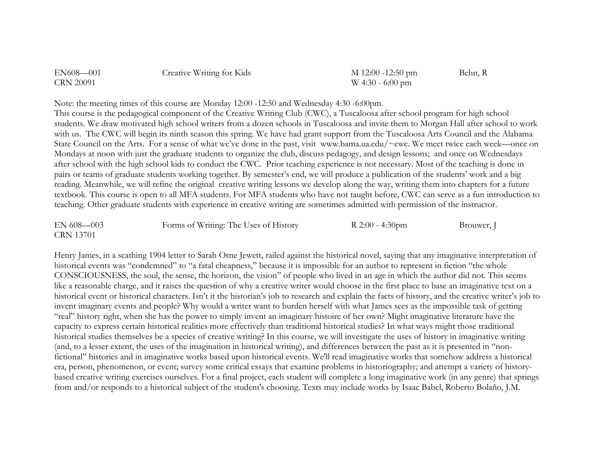| EN608-001        | Creative Writing for Kids | $M$ 12:00 -12:50 pm | Behn, R |
|------------------|---------------------------|---------------------|---------|
| <b>CRN 20091</b> |                           | $W$ 4:30 - 6:00 pm  |         |

Note: the meeting times of this course are Monday 12:00 -12:50 and Wednesday 4:30 -6:00pm.

This course is the pedagogical component of the Creative Writing Club (CWC), a Tuscaloosa after school program for high school students. We draw motivated high school writers from a dozen schools in Tuscaloosa and invite them to Morgan Hall after school to work with us. The CWC will begin its ninth season this spring. We have had grant support from the Tuscaloosa Arts Council and the Alabama State Council on the Arts. For a sense of what we've done in the past, visit www.bama.ua.edu/~cwc. We meet twice each week—once on Mondays at noon with just the graduate students to organize the club, discuss pedagogy, and design lessons; and once on Wednesdays after school with the high school kids to conduct the CWC. Prior teaching experience is not necessary. Most of the teaching is done in pairs or teams of graduate students working together. By semester's end, we will produce a publication of the students' work and a big reading. Meanwhile, we will refine the original creative writing lessons we develop along the way, writing them into chapters for a future textbook. This course is open to all MFA students. For MFA students who have not taught before, CWC can serve as a fun introduction to teaching. Other graduate students with experience in creative writing are sometimes admitted with permission of the instructor.

| $EN 608 - 003$   | Forms of Writing: The Uses of History | R $2:00 - 4:30$ pm | Brouwer, J |
|------------------|---------------------------------------|--------------------|------------|
| <b>CRN 13701</b> |                                       |                    |            |

Henry James, in a scathing 1904 letter to Sarah Orne Jewett, railed against the historical novel, saying that any imaginative interpretation of historical events was "condemned" to "a fatal cheapness," because it is impossible for an author to represent in fiction "the whole CONSCIOUSNESS, the soul, the sense, the horizon, the vision" of people who lived in an age in which the author did not. This seems like a reasonable charge, and it raises the question of why a creative writer would choose in the first place to base an imaginative text on a historical event or historical characters. Isn't it the historian's job to research and explain the facts of history, and the creative writer's job to invent imaginary events and people? Why would a writer want to burden herself with what James sees as the impossible task of getting "real" history right, when she has the power to simply invent an imaginary histoire of her own? Might imaginative literature have the capacity to express certain historical realities more effectively than traditional historical studies? In what ways might those traditional historical studies themselves be a species of creative writing? In this course, we will investigate the uses of history in imaginative writing (and, to a lesser extent, the uses of the imagination in historical writing), and differences between the past as it is presented in "nonfictional" histories and in imaginative works based upon historical events. We'll read imaginative works that somehow address a historical era, person, phenomenon, or event; survey some critical essays that examine problems in historiography; and attempt a variety of historybased creative writing exercises ourselves. For a final project, each student will complete a long imaginative work (in any genre) that springs from and/or responds to a historical subject of the student's choosing. Texts may include works by Isaac Babel, Roberto Bolaño, J.M.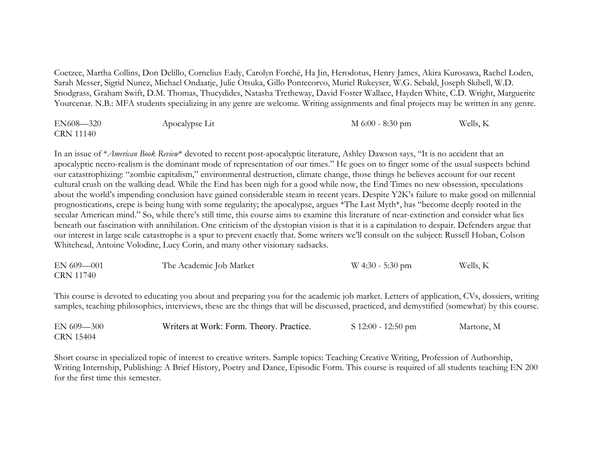Coetzee, Martha Collins, Don Delillo, Cornelius Eady, Carolyn Forché, Ha Jin, Herodotus, Henry James, Akira Kurosawa, Rachel Loden, Sarah Messer, Sigrid Nunez, Michael Ondaatje, Julie Otsuka, Gillo Pontecorvo, Muriel Rukeyser, W.G. Sebald, Joseph Skibell, W.D. Snodgrass, Graham Swift, D.M. Thomas, Thucydides, Natasha Tretheway, David Foster Wallace, Hayden White, C.D. Wright, Marguerite Yourcenar. N.B.: MFA students specializing in any genre are welcome. Writing assignments and final projects may be written in any genre.

| EN608-320        | Apocalypse Lit | $M$ 6:00 - 8:30 pm | Wells, K |
|------------------|----------------|--------------------|----------|
| <b>CRN 11140</b> |                |                    |          |

In an issue of \**American Book Review*\* devoted to recent post-apocalyptic literature, Ashley Dawson says, "It is no accident that an apocalyptic necro-realism is the dominant mode of representation of our times." He goes on to finger some of the usual suspects behind our catastrophizing: "zombie capitalism," environmental destruction, climate change, those things he believes account for our recent cultural crush on the walking dead. While the End has been nigh for a good while now, the End Times no new obsession, speculations about the world's impending conclusion have gained considerable steam in recent years. Despite Y2K's failure to make good on millennial prognostications, crepe is being hung with some regularity; the apocalypse, argues \*The Last Myth\*, has "become deeply rooted in the secular American mind." So, while there's still time, this course aims to examine this literature of near-extinction and consider what lies beneath our fascination with annihilation. One criticism of the dystopian vision is that it is a capitulation to despair. Defenders argue that our interest in large scale catastrophe is a spur to prevent exactly that. Some writers we'll consult on the subject: Russell Hoban, Colson Whitehead, Antoine Volodine, Lucy Corin, and many other visionary sadsacks.

| EN 609-001       | The Academic Job Market | $W$ 4:30 - 5:30 pm | Wells, K |
|------------------|-------------------------|--------------------|----------|
| <b>CRN 11740</b> |                         |                    |          |

This course is devoted to educating you about and preparing you for the academic job market. Letters of application, CVs, dossiers, writing samples, teaching philosophies, interviews, these are the things that will be discussed, practiced, and demystified (somewhat) by this course.

| $EN 609 - 300$   | Writers at Work: Form. Theory. Practice. | $S$ 12:00 - 12:50 pm | Martone, M |
|------------------|------------------------------------------|----------------------|------------|
| <b>CRN 15404</b> |                                          |                      |            |

Short course in specialized topic of interest to creative writers. Sample topics: Teaching Creative Writing, Profession of Authorship, Writing Internship, Publishing: A Brief History, Poetry and Dance, Episodic Form. This course is required of all students teaching EN 200 for the first time this semester.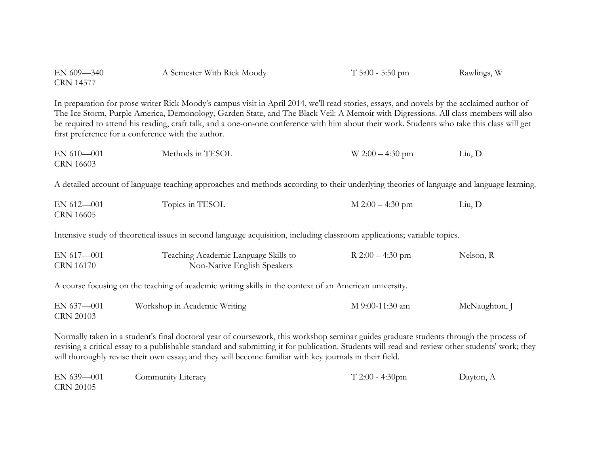| EN 609-340<br><b>CRN 14577</b>                                                                                                                                                                                                                                                                                                                                                                                                                                                         | A Semester With Rick Moody                                                                                                               | $T$ 5:00 - 5:50 pm | Rawlings, W   |  |
|----------------------------------------------------------------------------------------------------------------------------------------------------------------------------------------------------------------------------------------------------------------------------------------------------------------------------------------------------------------------------------------------------------------------------------------------------------------------------------------|------------------------------------------------------------------------------------------------------------------------------------------|--------------------|---------------|--|
| In preparation for prose writer Rick Moody's campus visit in April 2014, we'll read stories, essays, and novels by the acclaimed author of<br>The Ice Storm, Purple America, Demonology, Garden State, and The Black Veil: A Memoir with Digressions. All class members will also<br>be required to attend his reading, craft talk, and a one-on-one conference with him about their work. Students who take this class will get<br>first preference for a conference with the author. |                                                                                                                                          |                    |               |  |
| EN 610-001<br>CRN 16603                                                                                                                                                                                                                                                                                                                                                                                                                                                                | Methods in TESOL                                                                                                                         | $W 2:00 - 4:30$ pm | Liu, D        |  |
|                                                                                                                                                                                                                                                                                                                                                                                                                                                                                        | A detailed account of language teaching approaches and methods according to their underlying theories of language and language learning. |                    |               |  |
| EN 612-001<br><b>CRN 16605</b>                                                                                                                                                                                                                                                                                                                                                                                                                                                         | Topics in TESOL                                                                                                                          | $M 2:00 - 4:30$ pm | Liu, D        |  |
| Intensive study of theoretical issues in second language acquisition, including classroom applications; variable topics.                                                                                                                                                                                                                                                                                                                                                               |                                                                                                                                          |                    |               |  |
| EN 617-001<br><b>CRN 16170</b>                                                                                                                                                                                                                                                                                                                                                                                                                                                         | Teaching Academic Language Skills to<br>Non-Native English Speakers                                                                      | R $2:00 - 4:30$ pm | Nelson, R     |  |
| A course focusing on the teaching of academic writing skills in the context of an American university.                                                                                                                                                                                                                                                                                                                                                                                 |                                                                                                                                          |                    |               |  |
| EN 637-001<br><b>CRN 20103</b>                                                                                                                                                                                                                                                                                                                                                                                                                                                         | Workshop in Academic Writing                                                                                                             | M 9:00-11:30 am    | McNaughton, J |  |
| Normally taken in a student's final doctoral year of coursework, this workshop seminar guides graduate students through the process of<br>revising a critical essay to a publishable standard and submitting it for publication. Students will read and review other students' work; they<br>will thoroughly revise their own essay; and they will become familiar with key journals in their field.                                                                                   |                                                                                                                                          |                    |               |  |

| $EN 639 - 001$   | Community Literacy | $T 2:00 - 4:30$ pm | Dayton, A |
|------------------|--------------------|--------------------|-----------|
| <b>CRN 20105</b> |                    |                    |           |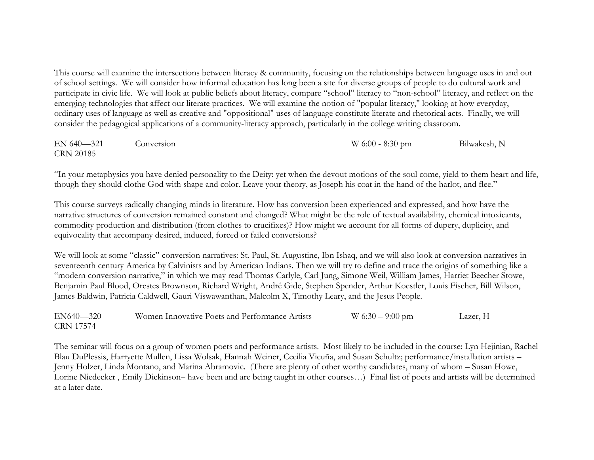This course will examine the intersections between literacy & community, focusing on the relationships between language uses in and out of school settings. We will consider how informal education has long been a site for diverse groups of people to do cultural work and participate in civic life. We will look at public beliefs about literacy, compare "school" literacy to "non-school" literacy, and reflect on the emerging technologies that affect our literate practices. We will examine the notion of "popular literacy," looking at how everyday, ordinary uses of language as well as creative and "oppositional" uses of language constitute literate and rhetorical acts. Finally, we will consider the pedagogical applications of a community-literacy approach, particularly in the college writing classroom.

EN 640—321 Conversion W 6:00 - 8:30 pm Bilwakesh, N CRN 20185

"In your metaphysics you have denied personality to the Deity: yet when the devout motions of the soul come, yield to them heart and life, though they should clothe God with shape and color. Leave your theory, as Joseph his coat in the hand of the harlot, and flee."

This course surveys radically changing minds in literature. How has conversion been experienced and expressed, and how have the narrative structures of conversion remained constant and changed? What might be the role of textual availability, chemical intoxicants, commodity production and distribution (from clothes to crucifixes)? How might we account for all forms of dupery, duplicity, and equivocality that accompany desired, induced, forced or failed conversions?

We will look at some "classic" conversion narratives: St. Paul, St. Augustine, Ibn Ishaq, and we will also look at conversion narratives in seventeenth century America by Calvinists and by American Indians. Then we will try to define and trace the origins of something like a "modern conversion narrative," in which we may read Thomas Carlyle, Carl Jung, Simone Weil, William James, Harriet Beecher Stowe, Benjamin Paul Blood, Orestes Brownson, Richard Wright, André Gide, Stephen Spender, Arthur Koestler, Louis Fischer, Bill Wilson, James Baldwin, Patricia Caldwell, Gauri Viswawanthan, Malcolm X, Timothy Leary, and the Jesus People.

EN640—320 Women Innovative Poets and Performance Artists W 6:30 – 9:00 pm Lazer, H CRN 17574

The seminar will focus on a group of women poets and performance artists. Most likely to be included in the course: Lyn Hejinian, Rachel Blau DuPlessis, Harryette Mullen, Lissa Wolsak, Hannah Weiner, Cecilia Vicuña, and Susan Schultz; performance/installation artists – Jenny Holzer, Linda Montano, and Marina Abramovic. (There are plenty of other worthy candidates, many of whom – Susan Howe, Lorine Niedecker , Emily Dickinson– have been and are being taught in other courses…) Final list of poets and artists will be determined at a later date.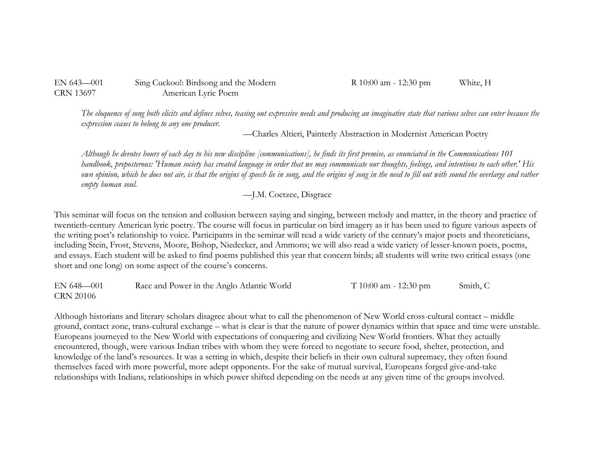| EN $643-001$ | Sing Cuckoo!: Birdsong and the Mo |
|--------------|-----------------------------------|
| CRN 13697    | American Lyric Poem               |

*The eloquence of song both elicits and defines selves, teasing out expressive needs and producing an imaginative state that various selves can enter because the expression ceases to belong to any one producer.*

—Charles Altieri, Painterly Abstraction in Modernist American Poetry

*Although he devotes hours of each day to his new discipline [communications], he finds its first premise, as enunciated in the Communications 101 handbook, preposterous: 'Human society has created language in order that we may communicate our thoughts, feelings, and intentions to each other.' His own opinion, which he does not air, is that the origins of speech lie in song, and the origins of song in the need to fill out with sound the overlarge and rather empty human soul.*

—J.M. Coetzee, Disgrace

This seminar will focus on the tension and collusion between saying and singing, between melody and matter, in the theory and practice of twentieth-century American lyric poetry. The course will focus in particular on bird imagery as it has been used to figure various aspects of the writing poet's relationship to voice. Participants in the seminar will read a wide variety of the century's major poets and theoreticians, including Stein, Frost, Stevens, Moore, Bishop, Niedecker, and Ammons; we will also read a wide variety of lesser-known poets, poems, and essays. Each student will be asked to find poems published this year that concern birds; all students will write two critical essays (one short and one long) on some aspect of the course's concerns.

EN 648—001 Race and Power in the Anglo Atlantic World T 10:00 am - 12:30 pm Smith, C CRN 20106

Although historians and literary scholars disagree about what to call the phenomenon of New World cross-cultural contact – middle ground, contact zone, trans-cultural exchange – what is clear is that the nature of power dynamics within that space and time were unstable. Europeans journeyed to the New World with expectations of conquering and civilizing New World frontiers. What they actually encountered, though, were various Indian tribes with whom they were forced to negotiate to secure food, shelter, protection, and knowledge of the land's resources. It was a setting in which, despite their beliefs in their own cultural supremacy, they often found themselves faced with more powerful, more adept opponents. For the sake of mutual survival, Europeans forged give-and-take relationships with Indians, relationships in which power shifted depending on the needs at any given time of the groups involved.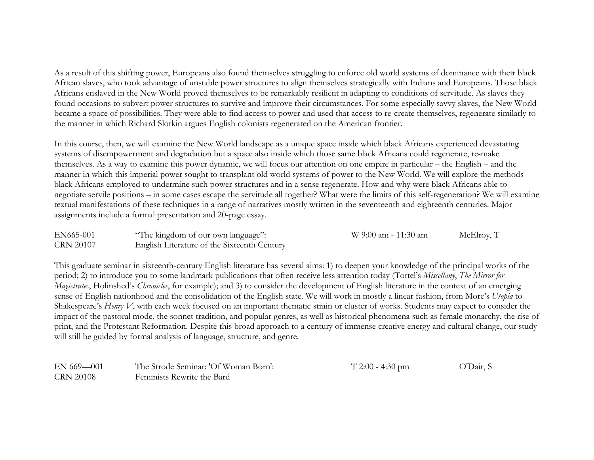As a result of this shifting power, Europeans also found themselves struggling to enforce old world systems of dominance with their black African slaves, who took advantage of unstable power structures to align themselves strategically with Indians and Europeans. Those black Africans enslaved in the New World proved themselves to be remarkably resilient in adapting to conditions of servitude. As slaves they found occasions to subvert power structures to survive and improve their circumstances. For some especially savvy slaves, the New World became a space of possibilities. They were able to find access to power and used that access to re-create themselves, regenerate similarly to the manner in which Richard Slotkin argues English colonists regenerated on the American frontier.

In this course, then, we will examine the New World landscape as a unique space inside which black Africans experienced devastating systems of disempowerment and degradation but a space also inside which those same black Africans could regenerate, re-make themselves. As a way to examine this power dynamic, we will focus our attention on one empire in particular – the English – and the manner in which this imperial power sought to transplant old world systems of power to the New World. We will explore the methods black Africans employed to undermine such power structures and in a sense regenerate. How and why were black Africans able to negotiate servile positions – in some cases escape the servitude all together? What were the limits of this self-regeneration? We will examine textual manifestations of these techniques in a range of narratives mostly written in the seventeenth and eighteenth centuries. Major assignments include a formal presentation and 20-page essay.

| EN665-001        | "The kingdom of our own language":          | W 9:00 am - 11:30 am | McElroy, T |
|------------------|---------------------------------------------|----------------------|------------|
| <b>CRN 20107</b> | English Literature of the Sixteenth Century |                      |            |

This graduate seminar in sixteenth-century English literature has several aims: 1) to deepen your knowledge of the principal works of the period; 2) to introduce you to some landmark publications that often receive less attention today (Tottel's *Miscellany*, *The Mirror for Magistrates*, Holinshed's *Chronicles*, for example); and 3) to consider the development of English literature in the context of an emerging sense of English nationhood and the consolidation of the English state. We will work in mostly a linear fashion, from More's *Utopia* to Shakespeare's *Henry V*, with each week focused on an important thematic strain or cluster of works. Students may expect to consider the impact of the pastoral mode, the sonnet tradition, and popular genres, as well as historical phenomena such as female monarchy, the rise of print, and the Protestant Reformation. Despite this broad approach to a century of immense creative energy and cultural change, our study will still be guided by formal analysis of language, structure, and genre.

| $EN$ 669-001     | The Strode Seminar: 'Of Woman Born': | $T 2:00 - 4:30$ pm | O'Dair, S |
|------------------|--------------------------------------|--------------------|-----------|
| <b>CRN 20108</b> | Feminists Rewrite the Bard           |                    |           |